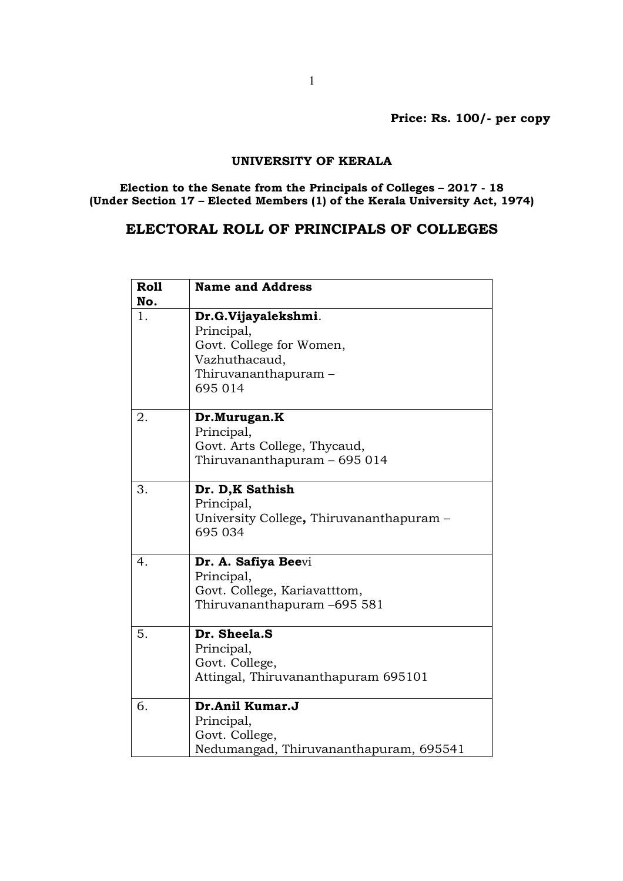Price: Rs. 100/- per copy

## UNIVERSITY OF KERALA

Election to the Senate from the Principals of Colleges – 2017 - 18 (Under Section 17 – Elected Members (1) of the Kerala University Act, 1974)

## ELECTORAL ROLL OF PRINCIPALS OF COLLEGES

| <b>Roll</b> | <b>Name and Address</b>                  |
|-------------|------------------------------------------|
| No.         |                                          |
| 1.          | Dr.G.Vijayalekshmi.                      |
|             | Principal,                               |
|             | Govt. College for Women,                 |
|             | Vazhuthacaud,                            |
|             | Thiruvananthapuram –                     |
|             | 695 014                                  |
| 2.          | Dr.Murugan.K                             |
|             | Principal,                               |
|             | Govt. Arts College, Thycaud,             |
|             | Thiruvananthapuram – 695 014             |
|             |                                          |
| 3.          | Dr. D,K Sathish                          |
|             | Principal,                               |
|             | University College, Thiruvananthapuram - |
|             | 695 034                                  |
|             |                                          |
| 4.          | Dr. A. Safiya Beevi                      |
|             | Principal,                               |
|             | Govt. College, Kariavatttom,             |
|             | Thiruvananthapuram -695 581              |
|             |                                          |
| 5.          | Dr. Sheela.S                             |
|             | Principal,                               |
|             | Govt. College,                           |
|             | Attingal, Thiruvananthapuram 695101      |
| 6.          | Dr.Anil Kumar.J                          |
|             | Principal,                               |
|             | Govt. College,                           |
|             | Nedumangad, Thiruvananthapuram, 695541   |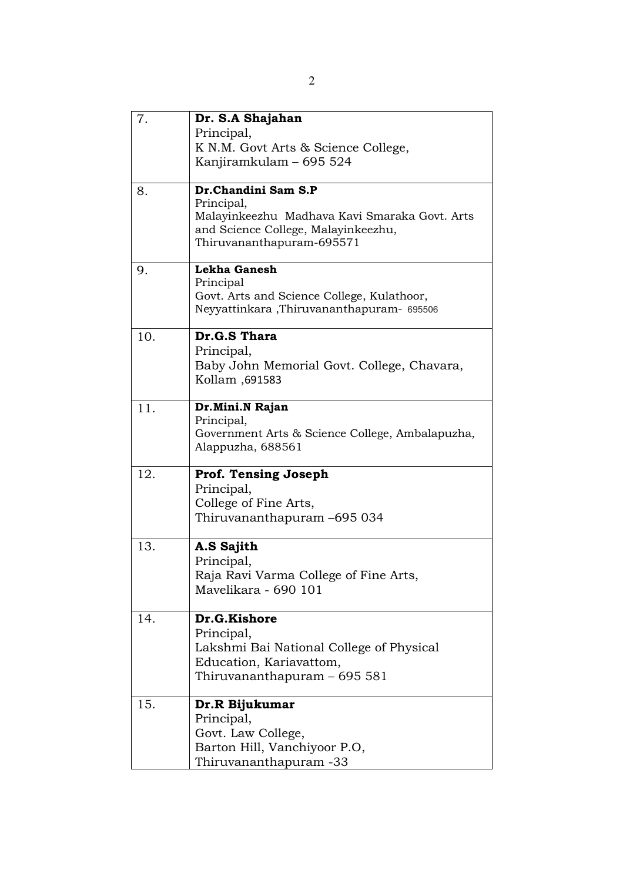| 7.  | Dr. S.A Shajahan                                                 |
|-----|------------------------------------------------------------------|
|     | Principal,                                                       |
|     | K N.M. Govt Arts & Science College,                              |
|     | Kanjiramkulam – 695 524                                          |
|     |                                                                  |
| 8.  | Dr.Chandini Sam S.P                                              |
|     | Principal,                                                       |
|     | Malayinkeezhu Madhava Kavi Smaraka Govt. Arts                    |
|     | and Science College, Malayinkeezhu,<br>Thiruvananthapuram-695571 |
|     |                                                                  |
| 9.  | Lekha Ganesh                                                     |
|     | Principal                                                        |
|     | Govt. Arts and Science College, Kulathoor,                       |
|     | Neyyattinkara, Thiruvananthapuram- 695506                        |
| 10. | Dr.G.S Thara                                                     |
|     | Principal,                                                       |
|     | Baby John Memorial Govt. College, Chavara,                       |
|     | Kollam, 691583                                                   |
|     |                                                                  |
| 11. | Dr. Mini. N Rajan                                                |
|     | Principal,                                                       |
|     | Government Arts & Science College, Ambalapuzha,                  |
|     | Alappuzha, 688561                                                |
| 12. | <b>Prof. Tensing Joseph</b>                                      |
|     | Principal,                                                       |
|     | College of Fine Arts,                                            |
|     | Thiruvananthapuram -695 034                                      |
|     |                                                                  |
| 13. | A.S Sajith                                                       |
|     | Principal,                                                       |
|     | Raja Ravi Varma College of Fine Arts,                            |
|     | Mavelikara - 690 101                                             |
|     |                                                                  |
| 14. | Dr.G.Kishore                                                     |
|     | Principal,                                                       |
|     | Lakshmi Bai National College of Physical                         |
|     | Education, Kariavattom,                                          |
|     | Thiruvananthapuram – 695 581                                     |
| 15. | Dr.R Bijukumar                                                   |
|     | Principal,                                                       |
|     | Govt. Law College,                                               |
|     | Barton Hill, Vanchiyoor P.O,                                     |
|     | Thiruvananthapuram -33                                           |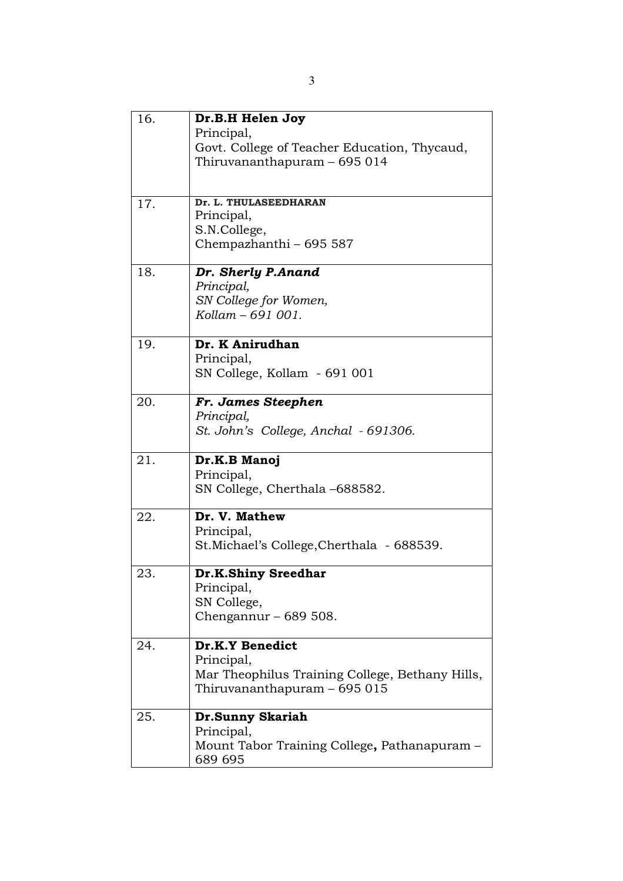| 16. | Dr.B.H Helen Joy                                   |
|-----|----------------------------------------------------|
|     | Principal,                                         |
|     | Govt. College of Teacher Education, Thycaud,       |
|     | Thiruvananthapuram - 695 014                       |
|     |                                                    |
| 17. | Dr. L. THULASEEDHARAN                              |
|     | Principal,                                         |
|     | S.N.College,                                       |
|     | Chempazhanthi - 695 587                            |
| 18. | Dr. Sherly P.Anand                                 |
|     | Principal,                                         |
|     | SN College for Women,                              |
|     | Kollam - 691 001.                                  |
| 19. | Dr. K Anirudhan                                    |
|     | Principal,                                         |
|     | SN College, Kollam - 691 001                       |
|     |                                                    |
| 20. | Fr. James Steephen                                 |
|     | Principal,<br>St. John's College, Anchal - 691306. |
|     |                                                    |
| 21. | Dr.K.B Manoj                                       |
|     | Principal,                                         |
|     | SN College, Cherthala -688582.                     |
| 22. | Dr. V. Mathew                                      |
|     | Principal,                                         |
|     | St.Michael's College, Cherthala - 688539.          |
| 23. | Dr.K.Shiny Sreedhar                                |
|     | Principal,                                         |
|     | SN College,                                        |
|     | Chengannur – $689508$ .                            |
| 24. | Dr.K.Y Benedict                                    |
|     | Principal,                                         |
|     | Mar Theophilus Training College, Bethany Hills,    |
|     | Thiruvananthapuram - 695 015                       |
| 25. | Dr.Sunny Skariah                                   |
|     | Principal,                                         |
|     | Mount Tabor Training College, Pathanapuram -       |
|     | 689 695                                            |